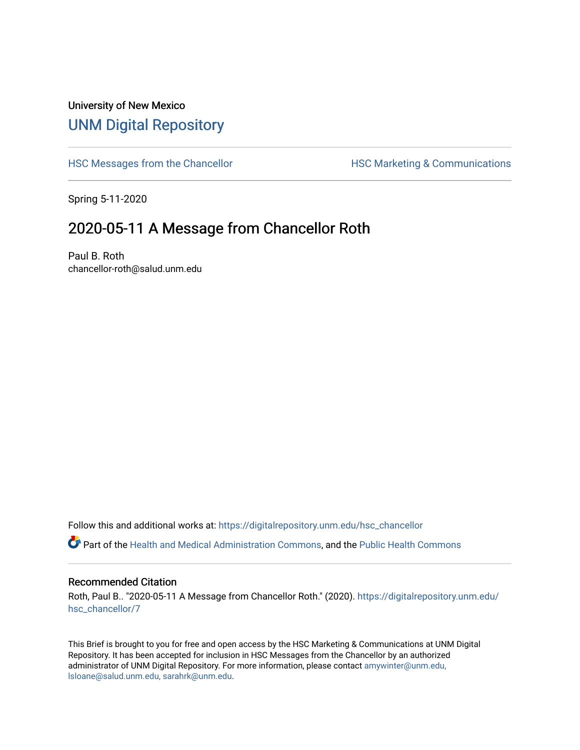## University of New Mexico [UNM Digital Repository](https://digitalrepository.unm.edu/)

[HSC Messages from the Chancellor](https://digitalrepository.unm.edu/hsc_chancellor) **HSC Marketing & Communications** 

Spring 5-11-2020

## 2020-05-11 A Message from Chancellor Roth

Paul B. Roth chancellor-roth@salud.unm.edu

Follow this and additional works at: [https://digitalrepository.unm.edu/hsc\\_chancellor](https://digitalrepository.unm.edu/hsc_chancellor?utm_source=digitalrepository.unm.edu%2Fhsc_chancellor%2F7&utm_medium=PDF&utm_campaign=PDFCoverPages) 

Part of the [Health and Medical Administration Commons](http://network.bepress.com/hgg/discipline/663?utm_source=digitalrepository.unm.edu%2Fhsc_chancellor%2F7&utm_medium=PDF&utm_campaign=PDFCoverPages), and the [Public Health Commons](http://network.bepress.com/hgg/discipline/738?utm_source=digitalrepository.unm.edu%2Fhsc_chancellor%2F7&utm_medium=PDF&utm_campaign=PDFCoverPages) 

## Recommended Citation

Roth, Paul B.. "2020-05-11 A Message from Chancellor Roth." (2020). [https://digitalrepository.unm.edu/](https://digitalrepository.unm.edu/hsc_chancellor/7?utm_source=digitalrepository.unm.edu%2Fhsc_chancellor%2F7&utm_medium=PDF&utm_campaign=PDFCoverPages) [hsc\\_chancellor/7](https://digitalrepository.unm.edu/hsc_chancellor/7?utm_source=digitalrepository.unm.edu%2Fhsc_chancellor%2F7&utm_medium=PDF&utm_campaign=PDFCoverPages)

This Brief is brought to you for free and open access by the HSC Marketing & Communications at UNM Digital Repository. It has been accepted for inclusion in HSC Messages from the Chancellor by an authorized administrator of UNM Digital Repository. For more information, please contact [amywinter@unm.edu,](mailto:amywinter@unm.edu,%20lsloane@salud.unm.edu,%20sarahrk@unm.edu) [lsloane@salud.unm.edu, sarahrk@unm.edu.](mailto:amywinter@unm.edu,%20lsloane@salud.unm.edu,%20sarahrk@unm.edu)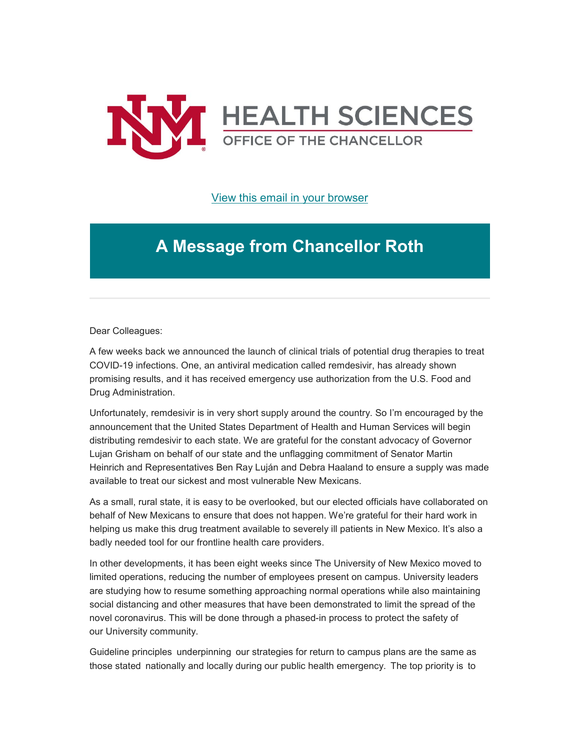

[View this email in your browser](https://mailchi.mp/3949748e3880/message-from-the-chancellor-coronavirus-4412004?e=b4bbfca2c0)

## **A Message from Chancellor Roth**

Dear Colleagues:

A few weeks back we announced the launch of clinical trials of potential drug therapies to treat COVID-19 infections. One, an antiviral medication called remdesivir, has already shown promising results, and it has received emergency use authorization from the U.S. Food and Drug Administration.

Unfortunately, remdesivir is in very short supply around the country. So I'm encouraged by the announcement that the United States Department of Health and Human Services will begin distributing remdesivir to each state. We are grateful for the constant advocacy of Governor Lujan Grisham on behalf of our state and the unflagging commitment of Senator Martin Heinrich and Representatives Ben Ray Luján and Debra Haaland to ensure a supply was made available to treat our sickest and most vulnerable New Mexicans.

As a small, rural state, it is easy to be overlooked, but our elected officials have collaborated on behalf of New Mexicans to ensure that does not happen. We're grateful for their hard work in helping us make this drug treatment available to severely ill patients in New Mexico. It's also a badly needed tool for our frontline health care providers.

In other developments, it has been eight weeks since The University of New Mexico moved to limited operations, reducing the number of employees present on campus. University leaders are studying how to resume something approaching normal operations while also maintaining social distancing and other measures that have been demonstrated to limit the spread of the novel coronavirus. This will be done through a phased-in process to protect the safety of our University community.

Guideline principles  underpinning  our strategies for return to campus plans are the same as those stated  nationally and locally during our public health emergency.  The top priority is  to